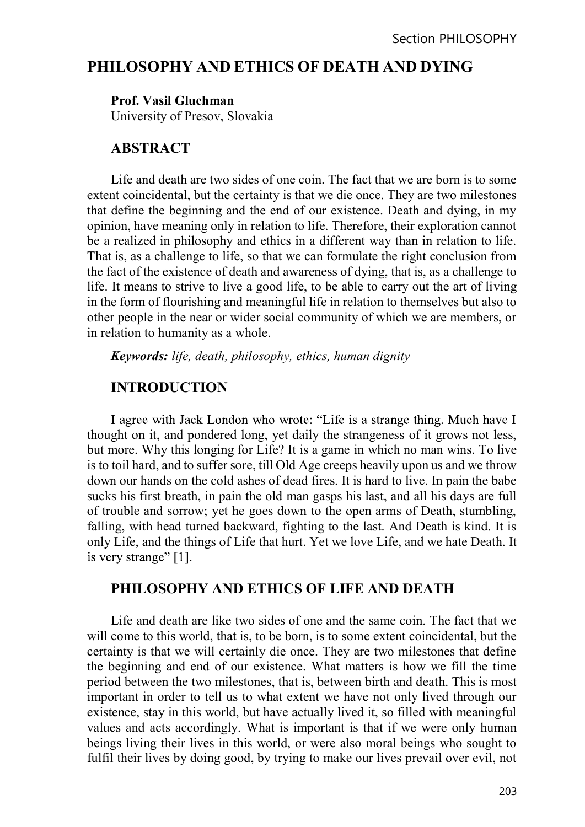# PHILOSOPHY AND ETHICS OF DEATH AND DYING

Prof. Vasil Gluchman University of Presov, Slovakia

## **ABSTRACT**

Life and death are two sides of one coin. The fact that we are born is to some extent coincidental, but the certainty is that we die once. They are two milestones that define the beginning and the end of our existence. Death and dying, in my opinion, have meaning only in relation to life. Therefore, their exploration cannot be a realized in philosophy and ethics in a different way than in relation to life. That is, as a challenge to life, so that we can formulate the right conclusion from the fact of the existence of death and awareness of dying, that is, as a challenge to life. It means to strive to live a good life, to be able to carry out the art of living in the form of flourishing and meaningful life in relation to themselves but also to other people in the near or wider social community of which we are members, or in relation to humanity as a whole.

Keywords: life, death, philosophy, ethics, human dignity

# INTRODUCTION

I agree with Jack London who wrote: "Life is a strange thing. Much have I thought on it, and pondered long, yet daily the strangeness of it grows not less, but more. Why this longing for Life? It is a game in which no man wins. To live is to toil hard, and to suffer sore, till Old Age creeps heavily upon us and we throw down our hands on the cold ashes of dead fires. It is hard to live. In pain the babe sucks his first breath, in pain the old man gasps his last, and all his days are full of trouble and sorrow; yet he goes down to the open arms of Death, stumbling, falling, with head turned backward, fighting to the last. And Death is kind. It is only Life, and the things of Life that hurt. Yet we love Life, and we hate Death. It is very strange" [1].

#### PHILOSOPHY AND ETHICS OF LIFE AND DEATH

Life and death are like two sides of one and the same coin. The fact that we will come to this world, that is, to be born, is to some extent coincidental, but the certainty is that we will certainly die once. They are two milestones that define the beginning and end of our existence. What matters is how we fill the time period between the two milestones, that is, between birth and death. This is most important in order to tell us to what extent we have not only lived through our existence, stay in this world, but have actually lived it, so filled with meaningful values and acts accordingly. What is important is that if we were only human beings living their lives in this world, or were also moral beings who sought to fulfil their lives by doing good, by trying to make our lives prevail over evil, not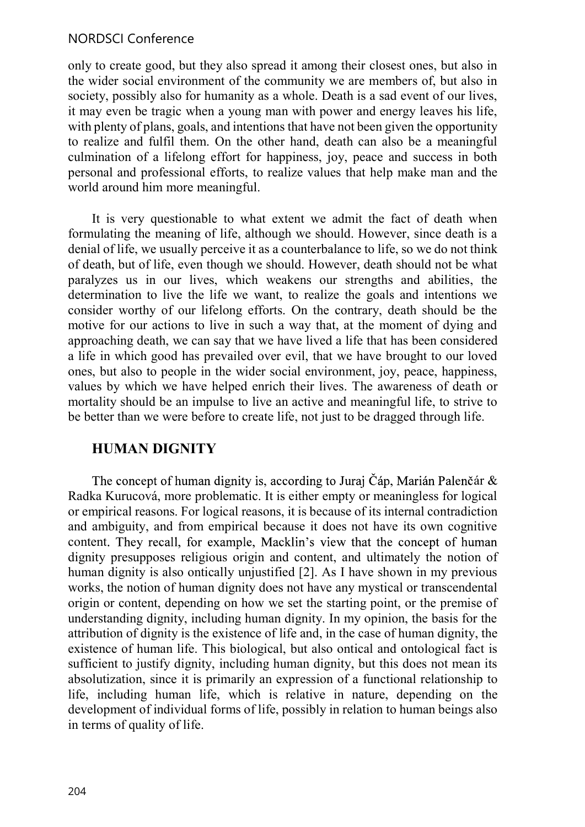## NORDSCI Conference

only to create good, but they also spread it among their closest ones, but also in the wider social environment of the community we are members of, but also in society, possibly also for humanity as a whole. Death is a sad event of our lives, it may even be tragic when a young man with power and energy leaves his life, with plenty of plans, goals, and intentions that have not been given the opportunity to realize and fulfil them. On the other hand, death can also be a meaningful culmination of a lifelong effort for happiness, joy, peace and success in both personal and professional efforts, to realize values that help make man and the world around him more meaningful.

It is very questionable to what extent we admit the fact of death when formulating the meaning of life, although we should. However, since death is a denial of life, we usually perceive it as a counterbalance to life, so we do not think of death, but of life, even though we should. However, death should not be what paralyzes us in our lives, which weakens our strengths and abilities, the determination to live the life we want, to realize the goals and intentions we consider worthy of our lifelong efforts. On the contrary, death should be the motive for our actions to live in such a way that, at the moment of dying and approaching death, we can say that we have lived a life that has been considered a life in which good has prevailed over evil, that we have brought to our loved ones, but also to people in the wider social environment, joy, peace, happiness, values by which we have helped enrich their lives. The awareness of death or mortality should be an impulse to live an active and meaningful life, to strive to be better than we were before to create life, not just to be dragged through life.

# HUMAN DIGNITY

The concept of human dignity is, according to Juraj Čáp, Marián Palenčár & Radka Kurucová, more problematic. It is either empty or meaningless for logical or empirical reasons. For logical reasons, it is because of its internal contradiction and ambiguity, and from empirical because it does not have its own cognitive content. They recall, for example, Macklin's view that the concept of human dignity presupposes religious origin and content, and ultimately the notion of human dignity is also ontically unjustified [2]. As I have shown in my previous works, the notion of human dignity does not have any mystical or transcendental origin or content, depending on how we set the starting point, or the premise of understanding dignity, including human dignity. In my opinion, the basis for the attribution of dignity is the existence of life and, in the case of human dignity, the existence of human life. This biological, but also ontical and ontological fact is sufficient to justify dignity, including human dignity, but this does not mean its absolutization, since it is primarily an expression of a functional relationship to life, including human life, which is relative in nature, depending on the development of individual forms of life, possibly in relation to human beings also in terms of quality of life.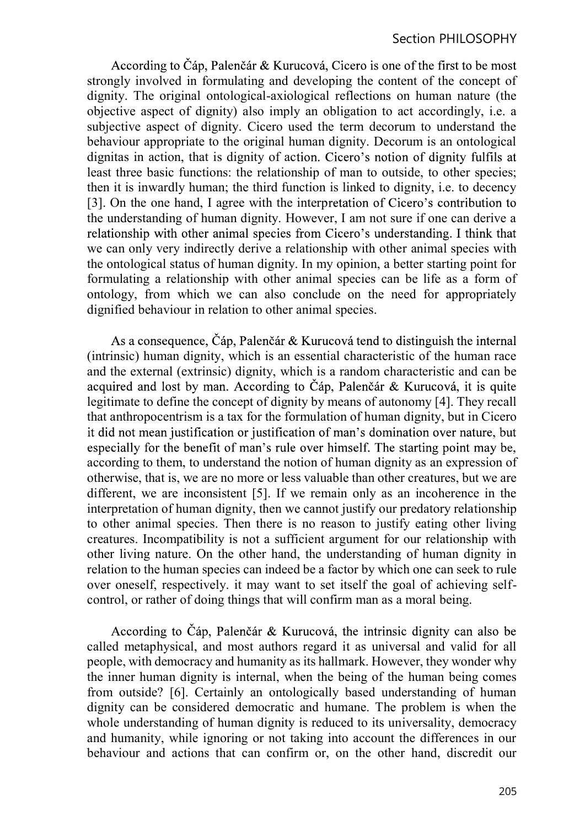According to Čáp, Palenčár & Kurucová, Cicero is one of the first to be most strongly involved in formulating and developing the content of the concept of dignity. The original ontological-axiological reflections on human nature (the objective aspect of dignity) also imply an obligation to act accordingly, i.e. a subjective aspect of dignity. Cicero used the term decorum to understand the behaviour appropriate to the original human dignity. Decorum is an ontological dignitas in action, that is dignity of action. Cicero's notion of dignity fulfils at least three basic functions: the relationship of man to outside, to other species; then it is inwardly human; the third function is linked to dignity, i.e. to decency [3]. On the one hand, I agree with the interpretation of Cicero's contribution to the understanding of human dignity. However, I am not sure if one can derive a relationship with other animal species from Cicero's understanding. I think that we can only very indirectly derive a relationship with other animal species with the ontological status of human dignity. In my opinion, a better starting point for formulating a relationship with other animal species can be life as a form of ontology, from which we can also conclude on the need for appropriately dignified behaviour in relation to other animal species.

As a consequence, Čáp, Palenčár & Kurucová tend to distinguish the internal (intrinsic) human dignity, which is an essential characteristic of the human race and the external (extrinsic) dignity, which is a random characteristic and can be acquired and lost by man. According to Čáp, Palenčár & Kurucová, it is quite legitimate to define the concept of dignity by means of autonomy [4]. They recall that anthropocentrism is a tax for the formulation of human dignity, but in Cicero it did not mean justification or justification of man's domination over nature, but especially for the benefit of man's rule over himself. The starting point may be. according to them, to understand the notion of human dignity as an expression of otherwise, that is, we are no more or less valuable than other creatures, but we are different, we are inconsistent [5]. If we remain only as an incoherence in the interpretation of human dignity, then we cannot justify our predatory relationship to other animal species. Then there is no reason to justify eating other living creatures. Incompatibility is not a sufficient argument for our relationship with other living nature. On the other hand, the understanding of human dignity in relation to the human species can indeed be a factor by which one can seek to rule over oneself, respectively. it may want to set itself the goal of achieving selfcontrol, or rather of doing things that will confirm man as a moral being.

According to Čáp, Palenčár & Kurucová, the intrinsic dignity can also be called metaphysical, and most authors regard it as universal and valid for all people, with democracy and humanity as its hallmark. However, they wonder why the inner human dignity is internal, when the being of the human being comes from outside? [6]. Certainly an ontologically based understanding of human dignity can be considered democratic and humane. The problem is when the whole understanding of human dignity is reduced to its universality, democracy and humanity, while ignoring or not taking into account the differences in our behaviour and actions that can confirm or, on the other hand, discredit our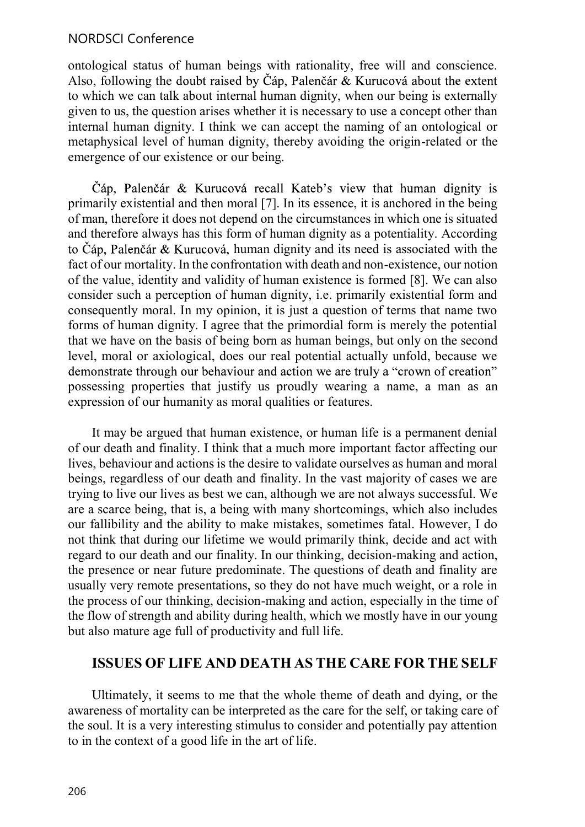### NORDSCI Conference

ontological status of human beings with rationality, free will and conscience. Also, following the doubt raised by Cáp, Palenčár & Kurucová about the extent to which we can talk about internal human dignity, when our being is externally given to us, the question arises whether it is necessary to use a concept other than internal human dignity. I think we can accept the naming of an ontological or metaphysical level of human dignity, thereby avoiding the origin-related or the emergence of our existence or our being.

Čáp, Palenčár & Kurucová recall Kateb's view that human dignity is primarily existential and then moral [7]. In its essence, it is anchored in the being of man, therefore it does not depend on the circumstances in which one is situated and therefore always has this form of human dignity as a potentiality. According to Čáp, Palenčár & Kurucová, human dignity and its need is associated with the fact of our mortality. In the confrontation with death and non-existence, our notion of the value, identity and validity of human existence is formed [8]. We can also consider such a perception of human dignity, i.e. primarily existential form and consequently moral. In my opinion, it is just a question of terms that name two forms of human dignity. I agree that the primordial form is merely the potential that we have on the basis of being born as human beings, but only on the second level, moral or axiological, does our real potential actually unfold, because we demonstrate through our behaviour and action we are truly a "crown of creation" possessing properties that justify us proudly wearing a name, a man as an expression of our humanity as moral qualities or features.

It may be argued that human existence, or human life is a permanent denial of our death and finality. I think that a much more important factor affecting our lives, behaviour and actions is the desire to validate ourselves as human and moral beings, regardless of our death and finality. In the vast majority of cases we are trying to live our lives as best we can, although we are not always successful. We are a scarce being, that is, a being with many shortcomings, which also includes our fallibility and the ability to make mistakes, sometimes fatal. However, I do not think that during our lifetime we would primarily think, decide and act with regard to our death and our finality. In our thinking, decision-making and action, the presence or near future predominate. The questions of death and finality are usually very remote presentations, so they do not have much weight, or a role in the process of our thinking, decision-making and action, especially in the time of the flow of strength and ability during health, which we mostly have in our young but also mature age full of productivity and full life.

## ISSUES OF LIFE AND DEATH AS THE CARE FOR THE SELF

Ultimately, it seems to me that the whole theme of death and dying, or the awareness of mortality can be interpreted as the care for the self, or taking care of the soul. It is a very interesting stimulus to consider and potentially pay attention to in the context of a good life in the art of life.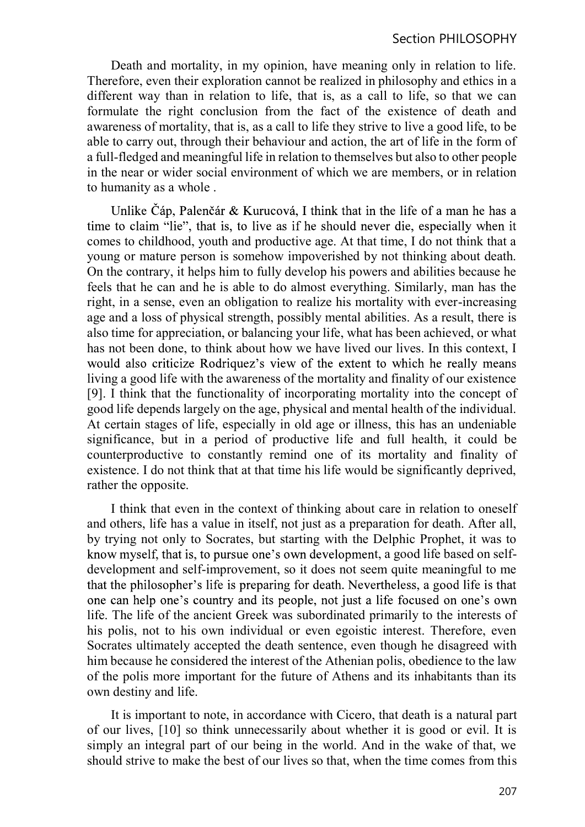Death and mortality, in my opinion, have meaning only in relation to life. Therefore, even their exploration cannot be realized in philosophy and ethics in a different way than in relation to life, that is, as a call to life, so that we can formulate the right conclusion from the fact of the existence of death and awareness of mortality, that is, as a call to life they strive to live a good life, to be able to carry out, through their behaviour and action, the art of life in the form of a full-fledged and meaningful life in relation to themselves but also to other people in the near or wider social environment of which we are members, or in relation to humanity as a whole .

Unlike Čáp, Palenčár & Kurucová, I think that in the life of a man he has a time to claim "lie", that is, to live as if he should never die, especially when it comes to childhood, youth and productive age. At that time, I do not think that a young or mature person is somehow impoverished by not thinking about death. On the contrary, it helps him to fully develop his powers and abilities because he feels that he can and he is able to do almost everything. Similarly, man has the right, in a sense, even an obligation to realize his mortality with ever-increasing age and a loss of physical strength, possibly mental abilities. As a result, there is also time for appreciation, or balancing your life, what has been achieved, or what has not been done, to think about how we have lived our lives. In this context, I would also criticize Rodriquez's view of the extent to which he really means living a good life with the awareness of the mortality and finality of our existence [9]. I think that the functionality of incorporating mortality into the concept of good life depends largely on the age, physical and mental health of the individual. At certain stages of life, especially in old age or illness, this has an undeniable significance, but in a period of productive life and full health, it could be counterproductive to constantly remind one of its mortality and finality of existence. I do not think that at that time his life would be significantly deprived, rather the opposite.

I think that even in the context of thinking about care in relation to oneself and others, life has a value in itself, not just as a preparation for death. After all, by trying not only to Socrates, but starting with the Delphic Prophet, it was to know myself, that is, to pursue one's own development, a good life based on selfdevelopment and self-improvement, so it does not seem quite meaningful to me that the philosopher's life is preparing for death. Nevertheless, a good life is that one can help one's country and its people, not just a life focused on one's own life. The life of the ancient Greek was subordinated primarily to the interests of his polis, not to his own individual or even egoistic interest. Therefore, even Socrates ultimately accepted the death sentence, even though he disagreed with him because he considered the interest of the Athenian polis, obedience to the law of the polis more important for the future of Athens and its inhabitants than its own destiny and life.

It is important to note, in accordance with Cicero, that death is a natural part of our lives, [10] so think unnecessarily about whether it is good or evil. It is simply an integral part of our being in the world. And in the wake of that, we should strive to make the best of our lives so that, when the time comes from this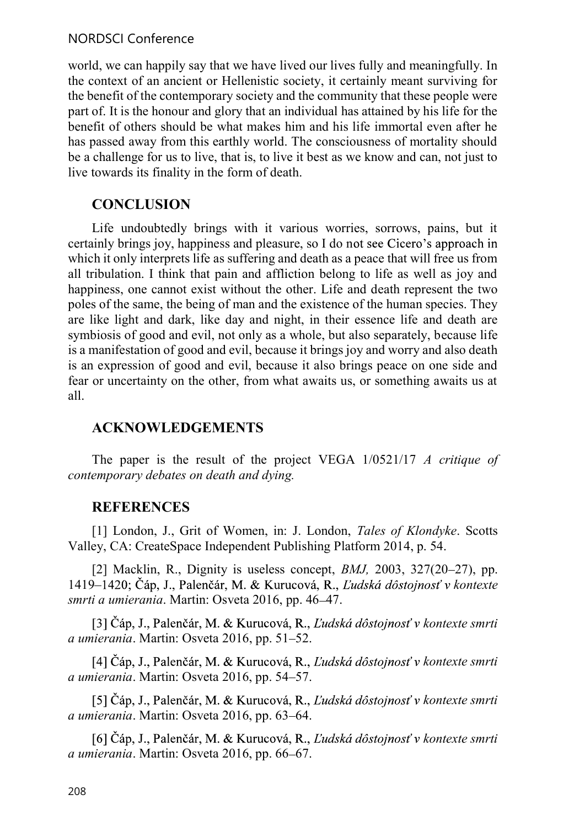#### NORDSCI Conference

world, we can happily say that we have lived our lives fully and meaningfully. In the context of an ancient or Hellenistic society, it certainly meant surviving for the benefit of the contemporary society and the community that these people were part of. It is the honour and glory that an individual has attained by his life for the benefit of others should be what makes him and his life immortal even after he has passed away from this earthly world. The consciousness of mortality should be a challenge for us to live, that is, to live it best as we know and can, not just to live towards its finality in the form of death.

## **CONCLUSION**

Life undoubtedly brings with it various worries, sorrows, pains, but it certainly brings joy, happiness and pleasure, so I do not see Cicero's approach in which it only interprets life as suffering and death as a peace that will free us from all tribulation. I think that pain and affliction belong to life as well as joy and happiness, one cannot exist without the other. Life and death represent the two poles of the same, the being of man and the existence of the human species. They are like light and dark, like day and night, in their essence life and death are symbiosis of good and evil, not only as a whole, but also separately, because life is a manifestation of good and evil, because it brings joy and worry and also death is an expression of good and evil, because it also brings peace on one side and fear or uncertainty on the other, from what awaits us, or something awaits us at all.

## ACKNOWLEDGEMENTS

The paper is the result of the project VEGA 1/0521/17 A critique of contemporary debates on death and dying.

#### **REFERENCES**

[1] London, J., Grit of Women, in: J. London, *Tales of Klondyke*. Scotts Valley, CA: CreateSpace Independent Publishing Platform 2014, p. 54.

[2] Macklin, R., Dignity is useless concept,  $BMJ$ , 2003, 327(20-27), pp. 1419–1420; Čáp, J., Palenčár, M. & Kurucová, R., Ľudská dôstojnosť v kontexte smrti a umierania. Martin: Osveta 2016, pp. 46–47.

[3] Čáp, J., Palenčár, M. & Kurucová, R., Ľudská dôstojnosť v kontexte smrti a umierania. Martin: Osveta 2016, pp. 51–52.

[4] Čáp, J., Palenčár, M. & Kurucová, R., Ľudská dôstojnosť v kontexte smrti a umierania. Martin: Osveta 2016, pp. 54–57.

[5] Čáp, J., Palenčár, M. & Kurucová, R., Ľudská dôstojnosť v kontexte smrti a umierania. Martin: Osveta 2016, pp. 63–64.

[6] Čáp, J., Palenčár, M. & Kurucová, R., Ľudská dôstojnosť v kontexte smrti  $a$  umierania. Martin: Osveta 2016, pp. 66–67.